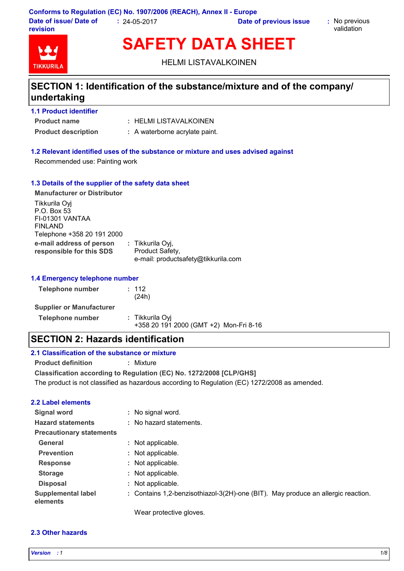**Conforms to Regulation (EC) No. 1907/2006 (REACH), Annex II - Europe Date of issue/ Date of revision :** 24-05-2017 **Date of previous issue :** No previous

validation



**SAFETY DATA SHEET**

HELMI LISTAVALKOINEN

### **SECTION 1: Identification of the substance/mixture and of the company/ undertaking**

| <b>1.1 Product identifier</b> |                        |
|-------------------------------|------------------------|
| <b>Product name</b>           | : HELMI LISTAVALKOINEN |

**Product description :** A waterborne acrylate paint.

#### **1.2 Relevant identified uses of the substance or mixture and uses advised against**

Recommended use: Painting work

#### **1.3 Details of the supplier of the safety data sheet**

| <b>Manufacturer or Distributor</b>                                                              |                                                                            |  |
|-------------------------------------------------------------------------------------------------|----------------------------------------------------------------------------|--|
| Tikkurila Oyj<br>P.O. Box 53<br>FI-01301 VANTAA<br><b>FINLAND</b><br>Telephone +358 20 191 2000 |                                                                            |  |
| e-mail address of person<br>responsible for this SDS                                            | : Tikkurila Oyj,<br>Product Safety,<br>e-mail: productsafety@tikkurila.com |  |

#### **1.4 Emergency telephone number**

| Telephone number                | : 112<br>(24h)                                            |
|---------------------------------|-----------------------------------------------------------|
| <b>Supplier or Manufacturer</b> |                                                           |
| <b>Telephone number</b>         | : Tikkurila Oyi<br>+358 20 191 2000 (GMT +2) Mon-Fri 8-16 |

### **SECTION 2: Hazards identification**

#### **2.1 Classification of the substance or mixture**

**Product definition :** Mixture

**Classification according to Regulation (EC) No. 1272/2008 [CLP/GHS]** The product is not classified as hazardous according to Regulation (EC) 1272/2008 as amended.

#### **2.2 Label elements**

| <b>Signal word</b>                    |    | : No signal word.                                                                |
|---------------------------------------|----|----------------------------------------------------------------------------------|
| <b>Hazard statements</b>              |    | : No hazard statements.                                                          |
| <b>Precautionary statements</b>       |    |                                                                                  |
| General                               |    | : Not applicable.                                                                |
| <b>Prevention</b>                     |    | : Not applicable.                                                                |
| <b>Response</b>                       |    | : Not applicable.                                                                |
| <b>Storage</b>                        |    | : Not applicable.                                                                |
| <b>Disposal</b>                       | ÷. | Not applicable.                                                                  |
| <b>Supplemental label</b><br>elements |    | : Contains 1,2-benzisothiazol-3(2H)-one (BIT). May produce an allergic reaction. |
|                                       |    | Wear protective gloves.                                                          |

#### **2.3 Other hazards**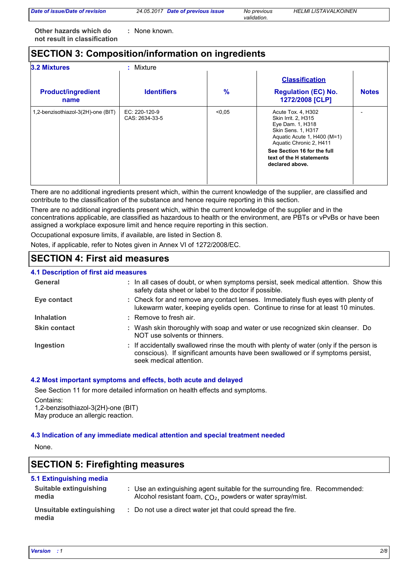*Date of issue/Date of revision* 

*validation.*

*Date of previous issue No previous HELMI LISTAVALKOINEN*

**Other hazards which do : not result in classification** : None known.

### **SECTION 3: Composition/information on ingredients**

| <b>3.2 Mixtures</b><br>$:$ Mixture |                                 |        |                                                                                                                                               |              |  |
|------------------------------------|---------------------------------|--------|-----------------------------------------------------------------------------------------------------------------------------------------------|--------------|--|
|                                    |                                 |        | <b>Classification</b>                                                                                                                         |              |  |
| <b>Product/ingredient</b><br>name  | <b>Identifiers</b>              | $\%$   | <b>Regulation (EC) No.</b><br>1272/2008 [CLP]                                                                                                 | <b>Notes</b> |  |
| 1,2-benzisothiazol-3(2H)-one (BIT) | EC: 220-120-9<br>CAS: 2634-33-5 | < 0.05 | Acute Tox. 4, H302<br>Skin Irrit. 2, H315<br>Eye Dam. 1, H318<br>Skin Sens. 1, H317<br>Aquatic Acute 1, H400 (M=1)<br>Aquatic Chronic 2, H411 |              |  |
|                                    |                                 |        | See Section 16 for the full<br>text of the H statements<br>declared above.                                                                    |              |  |

There are no additional ingredients present which, within the current knowledge of the supplier, are classified and contribute to the classification of the substance and hence require reporting in this section.

There are no additional ingredients present which, within the current knowledge of the supplier and in the concentrations applicable, are classified as hazardous to health or the environment, are PBTs or vPvBs or have been assigned a workplace exposure limit and hence require reporting in this section.

Occupational exposure limits, if available, are listed in Section 8.

Notes, if applicable, refer to Notes given in Annex VI of 1272/2008/EC.

### **SECTION 4: First aid measures**

#### : If accidentally swallowed rinse the mouth with plenty of water (only if the person is conscious). If significant amounts have been swallowed or if symptoms persist, seek medical attention. **Skin contact** Check for and remove any contact lenses. Immediately flush eyes with plenty of **:** lukewarm water, keeping eyelids open. Continue to rinse for at least 10 minutes. Wash skin thoroughly with soap and water or use recognized skin cleanser. Do **:** NOT use solvents or thinners. **4.1 Description of first aid measures** : Remove to fresh air. **Ingestion Inhalation Eye contact General :** In all cases of doubt, or when symptoms persist, seek medical attention. Show this safety data sheet or label to the doctor if possible.

#### **4.2 Most important symptoms and effects, both acute and delayed**

See Section 11 for more detailed information on health effects and symptoms. Contains: 1,2-benzisothiazol-3(2H)-one (BIT)

May produce an allergic reaction.

#### **4.3 Indication of any immediate medical attention and special treatment needed**

None.

### **SECTION 5: Firefighting measures**

#### **5.1 Extinguishing media**

| Suitable extinguishing<br>media   | : Use an extinguishing agent suitable for the surrounding fire. Recommended:<br>Alcohol resistant foam, CO <sub>2</sub> , powders or water spray/mist. |
|-----------------------------------|--------------------------------------------------------------------------------------------------------------------------------------------------------|
| Unsuitable extinguishing<br>media | : Do not use a direct water jet that could spread the fire.                                                                                            |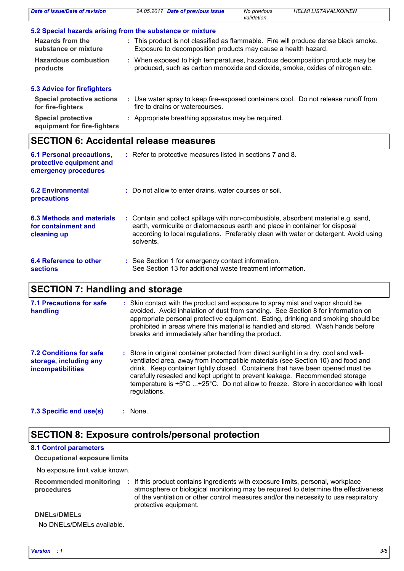| Date of issue/Date of revision                           | 24.05.2017 Date of previous issue                             | <b>HELMI LISTAVALKOINEN</b><br>No previous<br>validation.                                                                                                     |
|----------------------------------------------------------|---------------------------------------------------------------|---------------------------------------------------------------------------------------------------------------------------------------------------------------|
|                                                          | 5.2 Special hazards arising from the substance or mixture     |                                                                                                                                                               |
| <b>Hazards from the</b><br>substance or mixture          | Exposure to decomposition products may cause a health hazard. | : This product is not classified as flammable. Fire will produce dense black smoke.                                                                           |
| <b>Hazardous combustion</b><br>products                  |                                                               | : When exposed to high temperatures, hazardous decomposition products may be<br>produced, such as carbon monoxide and dioxide, smoke, oxides of nitrogen etc. |
| <b>5.3 Advice for firefighters</b>                       |                                                               |                                                                                                                                                               |
| <b>Special protective actions</b><br>for fire-fighters   | fire to drains or watercourses.                               | : Use water spray to keep fire-exposed containers cool. Do not release runoff from                                                                            |
| <b>Special protective</b><br>equipment for fire-fighters | Appropriate breathing apparatus may be required.              |                                                                                                                                                               |

# **SECTION 6: Accidental release measures**

| <b>6.1 Personal precautions,</b><br>protective equipment and<br>emergency procedures | : Refer to protective measures listed in sections 7 and 8.                                                                                                                                                                                                               |
|--------------------------------------------------------------------------------------|--------------------------------------------------------------------------------------------------------------------------------------------------------------------------------------------------------------------------------------------------------------------------|
| <b>6.2 Environmental</b><br>precautions                                              | : Do not allow to enter drains, water courses or soil.                                                                                                                                                                                                                   |
| 6.3 Methods and materials<br>for containment and<br>cleaning up                      | : Contain and collect spillage with non-combustible, absorbent material e.g. sand,<br>earth, vermiculite or diatomaceous earth and place in container for disposal<br>according to local regulations. Preferably clean with water or detergent. Avoid using<br>solvents. |
| 6.4 Reference to other<br>sections                                                   | : See Section 1 for emergency contact information.<br>See Section 13 for additional waste treatment information.                                                                                                                                                         |

## **SECTION 7: Handling and storage**

| <b>7.1 Precautions for safe</b><br>handling                                          | : Skin contact with the product and exposure to spray mist and vapor should be<br>avoided. Avoid inhalation of dust from sanding. See Section 8 for information on<br>appropriate personal protective equipment. Eating, drinking and smoking should be<br>prohibited in areas where this material is handled and stored. Wash hands before<br>breaks and immediately after handling the product.                                              |
|--------------------------------------------------------------------------------------|------------------------------------------------------------------------------------------------------------------------------------------------------------------------------------------------------------------------------------------------------------------------------------------------------------------------------------------------------------------------------------------------------------------------------------------------|
| <b>7.2 Conditions for safe</b><br>storage, including any<br><b>incompatibilities</b> | : Store in original container protected from direct sunlight in a dry, cool and well-<br>ventilated area, away from incompatible materials (see Section 10) and food and<br>drink. Keep container tightly closed. Containers that have been opened must be<br>carefully resealed and kept upright to prevent leakage. Recommended storage<br>temperature is +5°C +25°C. Do not allow to freeze. Store in accordance with local<br>regulations. |

**7.3 Specific end use(s) :**

### **SECTION 8: Exposure controls/personal protection**

### **8.1 Control parameters**

**Occupational exposure limits**

No exposure limit value known.

|            | Recommended monitoring : If this product contains ingredients with exposure limits, personal, workplace |
|------------|---------------------------------------------------------------------------------------------------------|
| procedures | atmosphere or biological monitoring may be required to determine the effectiveness                      |
|            | of the ventilation or other control measures and/or the necessity to use respiratory                    |
|            | protective equipment.                                                                                   |

#### **DNELs/DMELs**

No DNELs/DMELs available.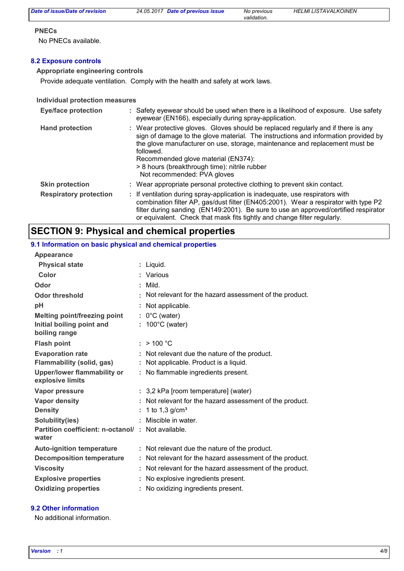*validation.*

#### **PNECs**

No PNECs available.

#### **8.2 Exposure controls**

#### **Appropriate engineering controls**

Provide adequate ventilation. Comply with the health and safety at work laws.

#### **Individual protection measures**

| <b>Eye/face protection</b>    | : Safety eyewear should be used when there is a likelihood of exposure. Use safety<br>eyewear (EN166), especially during spray-application.                                                                                                                                                                                                                                                |
|-------------------------------|--------------------------------------------------------------------------------------------------------------------------------------------------------------------------------------------------------------------------------------------------------------------------------------------------------------------------------------------------------------------------------------------|
| <b>Hand protection</b>        | : Wear protective gloves. Gloves should be replaced regularly and if there is any<br>sign of damage to the glove material. The instructions and information provided by<br>the glove manufacturer on use, storage, maintenance and replacement must be<br>followed.<br>Recommended glove material (EN374):<br>> 8 hours (breakthrough time): nitrile rubber<br>Not recommended: PVA gloves |
| <b>Skin protection</b>        | : Wear appropriate personal protective clothing to prevent skin contact.                                                                                                                                                                                                                                                                                                                   |
| <b>Respiratory protection</b> | : If ventilation during spray-application is inadequate, use respirators with<br>combination filter AP, gas/dust filter (EN405:2001). Wear a respirator with type P2<br>filter during sanding (EN149:2001). Be sure to use an approved/certified respirator<br>or equivalent. Check that mask fits tightly and change filter regularly.                                                    |

### **SECTION 9: Physical and chemical properties**

#### **Physical state Melting point/freezing point Initial boiling point and boiling range Vapor pressure Density Vapor density Solubility(ies)** Liquid. **:** : 1 to 1,3 g/cm<sup>s</sup> **Odor** : Mild. **pH Color** : Various **Evaporation rate Auto-ignition temperature Flash point** No explosive ingredients present. **: Partition coefficient: n-octanol/ : Not available.** Not applicable. **:** Viscosity **Not relevant for the hazard assessment of the product.** The mode of the product. **Odor threshold Not relevant for the hazard assessment of the product. water Upper/lower flammability or explosive limits Explosive properties :** 0°C (water) **:** 100°C (water) **:** 3,2 kPa [room temperature] (water) **:** Not relevant for the hazard assessment of the product. **:** Not relevant due the nature of the product. **:** Miscible in water.  $\cdot$  > 100 °C. **:** Not relevant due the nature of the product. **:** No flammable ingredients present. **Oxidizing properties :** No oxidizing ingredients present. **9.1 Information on basic physical and chemical properties Appearance Decomposition temperature :** Not relevant for the hazard assessment of the product. **Flammability (solid, gas) :** Not applicable. Product is a liquid.

#### **9.2 Other information**

No additional information.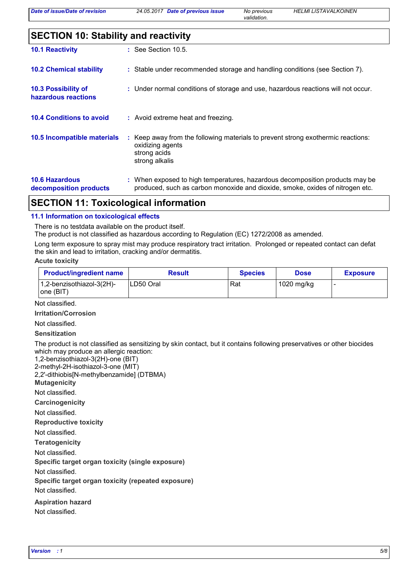*Date of previous issue No previous HELMI LISTAVALKOINEN*

*validation.*

| <b>SECTION 10: Stability and reactivity</b>     |  |                                                                                                                                                               |
|-------------------------------------------------|--|---------------------------------------------------------------------------------------------------------------------------------------------------------------|
| <b>10.1 Reactivity</b>                          |  | $:$ See Section 10.5.                                                                                                                                         |
| <b>10.2 Chemical stability</b>                  |  | : Stable under recommended storage and handling conditions (see Section 7).                                                                                   |
| 10.3 Possibility of<br>hazardous reactions      |  | : Under normal conditions of storage and use, hazardous reactions will not occur.                                                                             |
| <b>10.4 Conditions to avoid</b>                 |  | : Avoid extreme heat and freezing.                                                                                                                            |
| 10.5 Incompatible materials                     |  | : Keep away from the following materials to prevent strong exothermic reactions:<br>oxidizing agents<br>strong acids<br>strong alkalis                        |
| <b>10.6 Hazardous</b><br>decomposition products |  | : When exposed to high temperatures, hazardous decomposition products may be<br>produced, such as carbon monoxide and dioxide, smoke, oxides of nitrogen etc. |

### **SECTION 11: Toxicological information**

#### **11.1 Information on toxicological effects**

There is no testdata available on the product itself.

The product is not classified as hazardous according to Regulation (EC) 1272/2008 as amended.

Long term exposure to spray mist may produce respiratory tract irritation. Prolonged or repeated contact can defat the skin and lead to irritation, cracking and/or dermatitis.

#### **Acute toxicity**

| <b>Product/ingredient name</b>             | Result    | <b>Species</b> | <b>Dose</b> | <b>Exposure</b> |
|--------------------------------------------|-----------|----------------|-------------|-----------------|
| $1,2$ -benzisothiazol-3(2H)-<br>lone (BIT) | LD50 Oral | Rat            | 1020 mg/kg  |                 |

Not classified.

**Irritation/Corrosion**

Not classified.

**Sensitization**

The product is not classified as sensitizing by skin contact, but it contains following preservatives or other biocides which may produce an allergic reaction:

1,2-benzisothiazol-3(2H)-one (BIT)

2-methyl-2H-isothiazol-3-one (MIT) 2,2'-dithiobis[N-methylbenzamide] (DTBMA)

**Mutagenicity**

Not classified.

**Carcinogenicity**

Not classified.

**Reproductive toxicity**

Not classified.

**Teratogenicity**

Not classified.

**Specific target organ toxicity (single exposure)**

Not classified.

**Specific target organ toxicity (repeated exposure)**

Not classified.

**Aspiration hazard**

Not classified.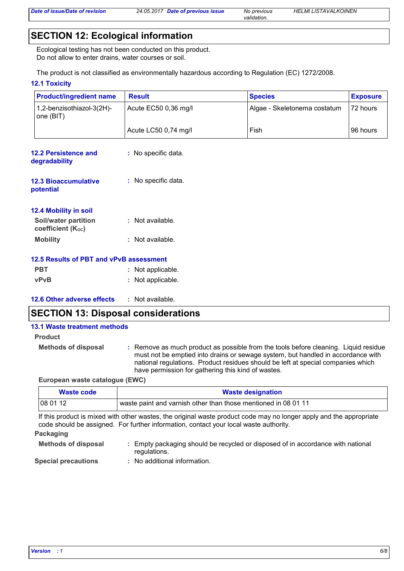*validation.*

## **SECTION 12: Ecological information**

Ecological testing has not been conducted on this product. Do not allow to enter drains, water courses or soil.

The product is not classified as environmentally hazardous according to Regulation (EC) 1272/2008.

#### **12.1 Toxicity**

| <b>Product/ingredient name</b>                   | <b>Result</b>        | <b>Species</b>               | <b>Exposure</b> |
|--------------------------------------------------|----------------------|------------------------------|-----------------|
| 1,2-benzisothiazol-3(2H)-<br>one (BIT)           | Acute EC50 0,36 mg/l | Algae - Skeletonema costatum | 72 hours        |
|                                                  | Acute LC50 0,74 mg/l | Fish                         | 96 hours        |
| <b>12.2 Persistence and</b><br>degradability     | : No specific data.  |                              |                 |
| <b>12.3 Bioaccumulative</b><br>potential         | : No specific data.  |                              |                 |
| 12.4 Mobility in soil                            |                      |                              |                 |
| <b>Soil/water partition</b><br>coefficient (Koc) | : Not available.     |                              |                 |
| <b>Mobility</b>                                  | : Not available.     |                              |                 |
| 12.5 Results of PBT and vPvB assessment          |                      |                              |                 |
| <b>PBT</b>                                       | : Not applicable.    |                              |                 |
| vPvB                                             | : Not applicable.    |                              |                 |
| 12.6 Other adverse effects                       | : Not available.     |                              |                 |

### **SECTION 13: Disposal considerations**

#### **13.1 Waste treatment methods**

| <b>Product</b> |  |
|----------------|--|
|----------------|--|

**Methods of disposal :** Remove as much product as possible from the tools before cleaning. Liquid residue must not be emptied into drains or sewage system, but handled in accordance with national regulations. Product residues should be left at special companies which have permission for gathering this kind of wastes.

#### **European waste catalogue (EWC)**

| Waste code | <b>Waste designation</b>                                       |  |
|------------|----------------------------------------------------------------|--|
| 08 01 12   | waste paint and varnish other than those mentioned in 08 01 11 |  |

If this product is mixed with other wastes, the original waste product code may no longer apply and the appropriate code should be assigned. For further information, contact your local waste authority.

#### **Packaging**

| <b>Methods of disposal</b> | Empty packaging should be recycled or disposed of in accordance with national<br>regulations. |
|----------------------------|-----------------------------------------------------------------------------------------------|
|                            |                                                                                               |

**Special precautions :** No additional information.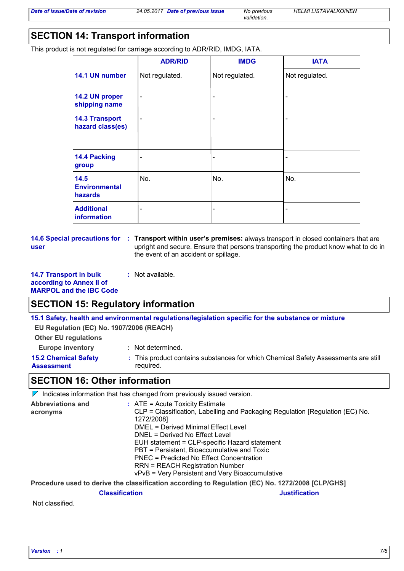*validation.*

# **SECTION 14: Transport information**

This product is not regulated for carriage according to ADR/RID, IMDG, IATA.

|                                           | <b>ADR/RID</b>           | <b>IMDG</b>              | <b>IATA</b>    |
|-------------------------------------------|--------------------------|--------------------------|----------------|
| 14.1 UN number                            | Not regulated.           | Not regulated.           | Not regulated. |
| 14.2 UN proper<br>shipping name           | $\overline{\phantom{a}}$ | $\overline{\phantom{a}}$ |                |
| <b>14.3 Transport</b><br>hazard class(es) | $\blacksquare$           | $\overline{\phantom{a}}$ |                |
| 14.4 Packing<br>group                     | $\blacksquare$           | -                        |                |
| 14.5<br><b>Environmental</b><br>hazards   | No.                      | No.                      | No.            |
| <b>Additional</b><br>information          | $\blacksquare$           | -                        |                |

**user**

**14.6 Special precautions for : Transport within user's premises: always transport in closed containers that are** upright and secure. Ensure that persons transporting the product know what to do in the event of an accident or spillage.

**14.7 Transport in bulk according to Annex II of MARPOL and the IBC Code**

### **SECTION 15: Regulatory information**

**15.1 Safety, health and environmental regulations/legislation specific for the substance or mixture**

**EU Regulation (EC) No. 1907/2006 (REACH)**

**Other EU regulations**

**Europe inventory :** Not determined.

**15.2 Chemical Safety Assessment**

**:** Not available.

This product contains substances for which Chemical Safety Assessments are still **:** required.

### **SECTION 16: Other information**

 $\nabla$  Indicates information that has changed from previously issued version.

| <b>Abbreviations and</b> | $:$ ATE = Acute Toxicity Estimate                                                           |  |  |
|--------------------------|---------------------------------------------------------------------------------------------|--|--|
| acronyms                 | CLP = Classification, Labelling and Packaging Regulation [Regulation (EC) No.<br>1272/2008] |  |  |
|                          | DMEL = Derived Minimal Effect Level                                                         |  |  |
|                          | DNEL = Derived No Effect Level                                                              |  |  |
|                          | EUH statement = CLP-specific Hazard statement                                               |  |  |
|                          | PBT = Persistent, Bioaccumulative and Toxic                                                 |  |  |
|                          | PNEC = Predicted No Effect Concentration                                                    |  |  |
|                          | <b>RRN = REACH Registration Number</b>                                                      |  |  |
|                          | vPvB = Very Persistent and Very Bioaccumulative                                             |  |  |
|                          |                                                                                             |  |  |

**Procedure used to derive the classification according to Regulation (EC) No. 1272/2008 [CLP/GHS]**

#### **Classification Justification**

Not classified.